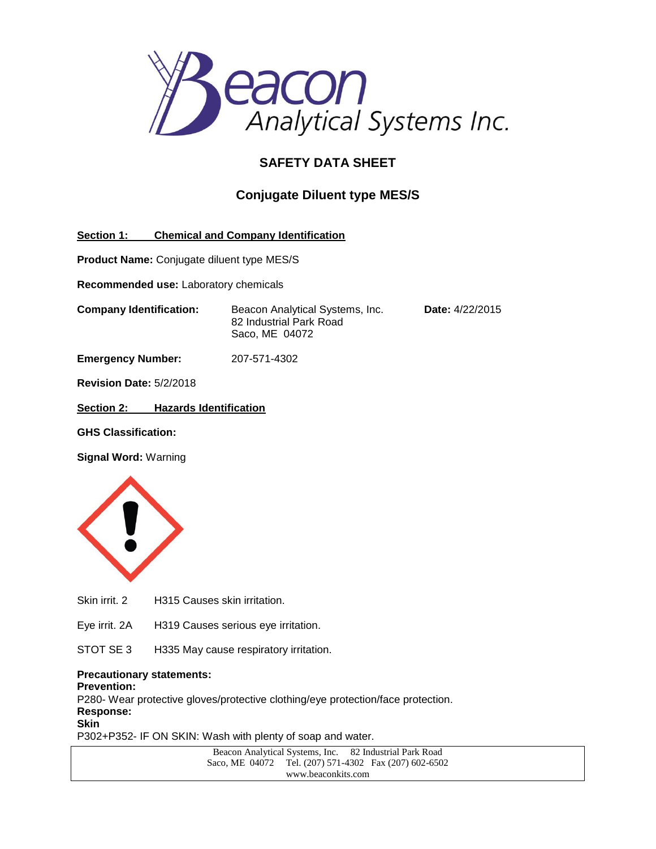

# **SAFETY DATA SHEET**

## **Conjugate Diluent type MES/S**

**Section 1: Chemical and Company Identification**

**Product Name:** Conjugate diluent type MES/S

**Recommended use:** Laboratory chemicals

**Company Identification:** Beacon Analytical Systems, Inc. **Date:** 4/22/2015 82 Industrial Park Road Saco, ME 04072

**Emergency Number:** 207-571-4302

**Revision Date:** 5/2/2018

**Section 2: Hazards Identification**

**GHS Classification:**

**Signal Word:** Warning



Skin irrit. 2 H315 Causes skin irritation.

Eye irrit. 2A H319 Causes serious eye irritation.

STOT SE 3 H335 May cause respiratory irritation.

#### **Precautionary statements:**

**Prevention:**

P280- Wear protective gloves/protective clothing/eye protection/face protection.

**Response: Skin**

P302+P352- IF ON SKIN: Wash with plenty of soap and water.

Beacon Analytical Systems, Inc. 82 Industrial Park Road Saco, ME 04072 Tel. (207) 571-4302 Fax (207) 602-6502 www.beaconkits.com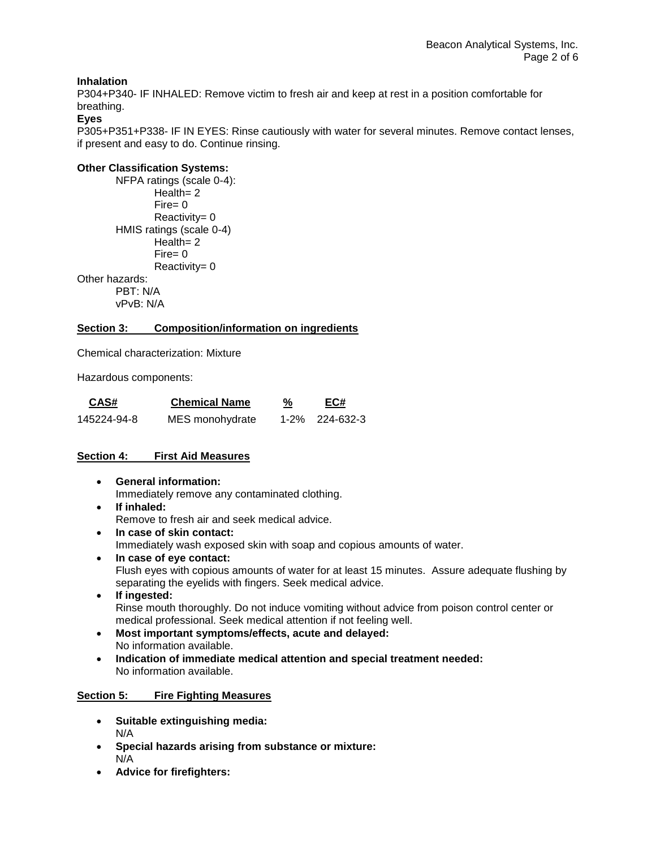## **Inhalation**

P304+P340- IF INHALED: Remove victim to fresh air and keep at rest in a position comfortable for breathing.

#### **Eyes**

P305+P351+P338- IF IN EYES: Rinse cautiously with water for several minutes. Remove contact lenses, if present and easy to do. Continue rinsing.

## **Other Classification Systems:**

NFPA ratings (scale 0-4): Health= 2 Fire= 0 Reactivity= 0 HMIS ratings (scale 0-4) Health= 2 Fire= 0 Reactivity= 0 Other hazards: PBT: N/A

vPvB: N/A

### **Section 3: Composition/information on ingredients**

Chemical characterization: Mixture

Hazardous components:

| CAS#        | <b>Chemical Name</b> | %<br>---- | EC#            |
|-------------|----------------------|-----------|----------------|
| 145224-94-8 | MES monohydrate      |           | 1-2% 224-632-3 |

## **Section 4: First Aid Measures**

- **General information:** Immediately remove any contaminated clothing.
- **If inhaled:** Remove to fresh air and seek medical advice.
- **In case of skin contact:** Immediately wash exposed skin with soap and copious amounts of water.
- **In case of eye contact:** Flush eyes with copious amounts of water for at least 15 minutes. Assure adequate flushing by separating the eyelids with fingers. Seek medical advice.
- **If ingested:** Rinse mouth thoroughly. Do not induce vomiting without advice from poison control center or medical professional. Seek medical attention if not feeling well.
- **Most important symptoms/effects, acute and delayed:** No information available.
- **Indication of immediate medical attention and special treatment needed:** No information available.

## **Section 5: Fire Fighting Measures**

- **Suitable extinguishing media:** N/A
- **Special hazards arising from substance or mixture:** N/A
- **Advice for firefighters:**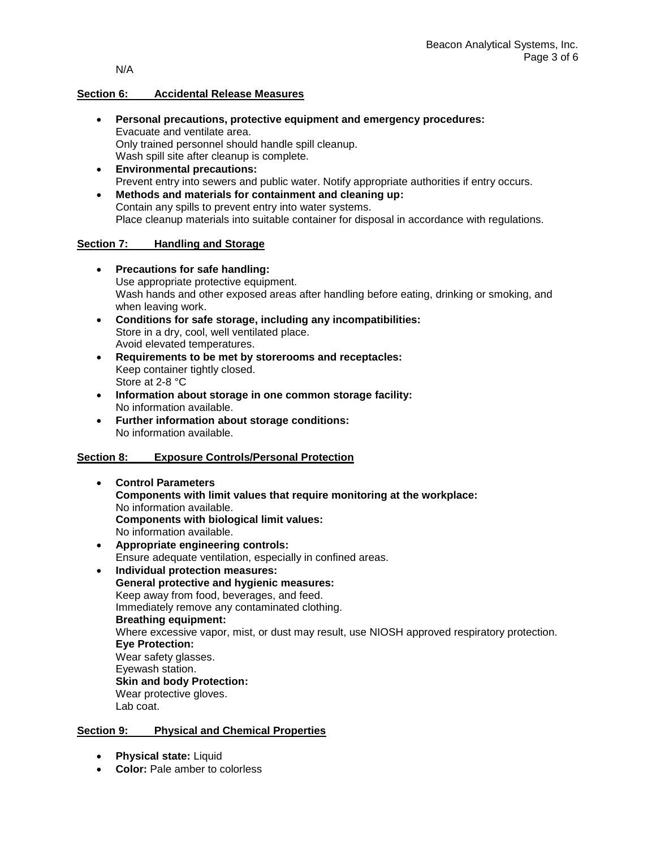N/A

#### **Section 6: Accidental Release Measures**

- **Personal precautions, protective equipment and emergency procedures:** Evacuate and ventilate area. Only trained personnel should handle spill cleanup. Wash spill site after cleanup is complete.
- **Environmental precautions:** Prevent entry into sewers and public water. Notify appropriate authorities if entry occurs.
- **Methods and materials for containment and cleaning up:** Contain any spills to prevent entry into water systems. Place cleanup materials into suitable container for disposal in accordance with regulations.

#### **Section 7: Handling and Storage**

- **Precautions for safe handling:** Use appropriate protective equipment. Wash hands and other exposed areas after handling before eating, drinking or smoking, and when leaving work.
- **Conditions for safe storage, including any incompatibilities:** Store in a dry, cool, well ventilated place. Avoid elevated temperatures.
- **Requirements to be met by storerooms and receptacles:**  Keep container tightly closed. Store at 2-8 °C
- **Information about storage in one common storage facility:** No information available.
- **Further information about storage conditions:** No information available.

## **Section 8: Exposure Controls/Personal Protection**

- **Control Parameters Components with limit values that require monitoring at the workplace:** No information available. **Components with biological limit values:** No information available.
- **Appropriate engineering controls:**  Ensure adequate ventilation, especially in confined areas.
- **Individual protection measures: General protective and hygienic measures:** Keep away from food, beverages, and feed. Immediately remove any contaminated clothing. **Breathing equipment:** Where excessive vapor, mist, or dust may result, use NIOSH approved respiratory protection. **Eye Protection:** Wear safety glasses. Eyewash station. **Skin and body Protection:** Wear protective gloves. Lab coat.

## **Section 9: Physical and Chemical Properties**

- **Physical state:** Liquid
- **Color:** Pale amber to colorless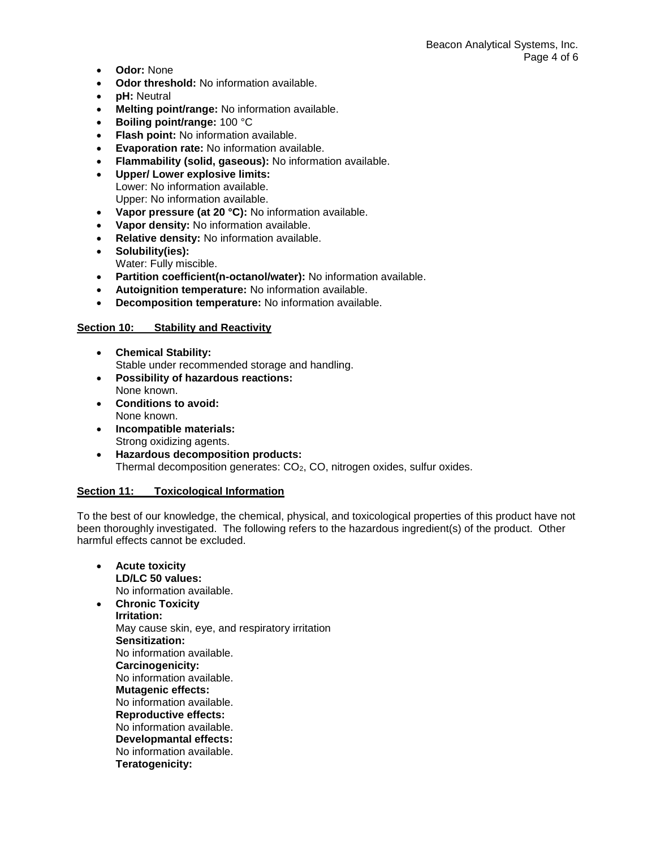- **Odor:** None
- **Odor threshold:** No information available.
- **pH:** Neutral
- **Melting point/range:** No information available.
- **Boiling point/range:** 100 °C
- **Flash point:** No information available.
- **Evaporation rate:** No information available.
- **Flammability (solid, gaseous):** No information available.
- **Upper/ Lower explosive limits:** Lower: No information available. Upper: No information available.
- **Vapor pressure (at 20 °C):** No information available.
- **Vapor density:** No information available.
- **Relative density:** No information available.
- **Solubility(ies):** Water: Fully miscible.
- **Partition coefficient(n-octanol/water):** No information available.
- **Autoignition temperature:** No information available.
- **Decomposition temperature:** No information available.

#### **Section 10: Stability and Reactivity**

- **Chemical Stability:** Stable under recommended storage and handling.
- **Possibility of hazardous reactions:** None known.
- **Conditions to avoid:** None known.
- **Incompatible materials:** Strong oxidizing agents.
- **Hazardous decomposition products:** Thermal decomposition generates: CO<sub>2</sub>, CO, nitrogen oxides, sulfur oxides.

#### **Section 11: Toxicological Information**

To the best of our knowledge, the chemical, physical, and toxicological properties of this product have not been thoroughly investigated. The following refers to the hazardous ingredient(s) of the product. Other harmful effects cannot be excluded.

 **Acute toxicity LD/LC 50 values:** No information available. **Chronic Toxicity Irritation:** May cause skin, eye, and respiratory irritation **Sensitization:** No information available. **Carcinogenicity:** No information available. **Mutagenic effects:** No information available. **Reproductive effects:** No information available. **Developmantal effects:** No information available. **Teratogenicity:**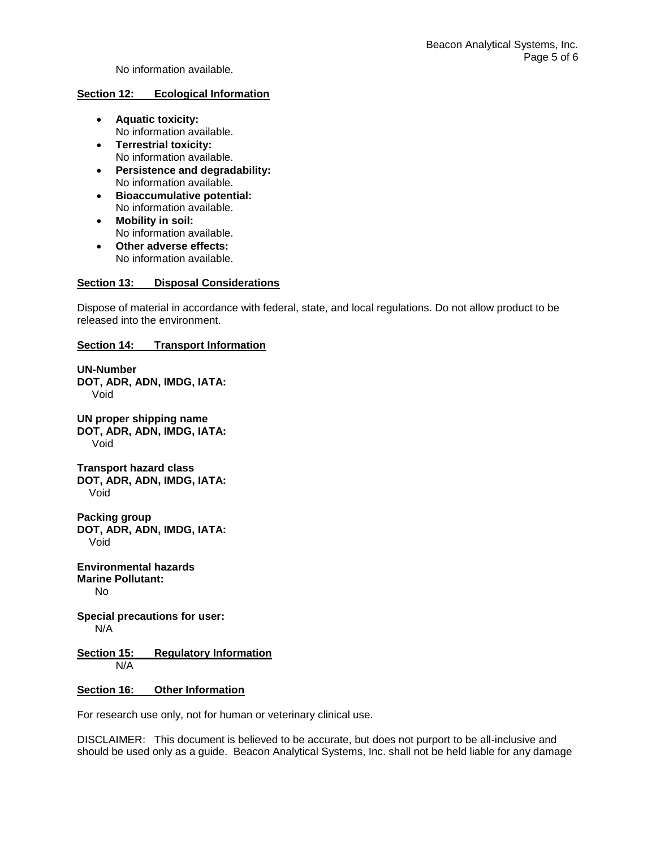No information available.

#### **Section 12: Ecological Information**

- **Aquatic toxicity:** No information available.
- **Terrestrial toxicity:** No information available.
- **Persistence and degradability:** No information available.
- **Bioaccumulative potential:** No information available.
- **Mobility in soil:** No information available.
- **Other adverse effects:** No information available.

#### **Section 13: Disposal Considerations**

Dispose of material in accordance with federal, state, and local regulations. Do not allow product to be released into the environment.

## **Section 14: Transport Information**

**UN-Number DOT, ADR, ADN, IMDG, IATA:** Void **UN proper shipping name DOT, ADR, ADN, IMDG, IATA:** Void **Transport hazard class DOT, ADR, ADN, IMDG, IATA:** Void **Packing group DOT, ADR, ADN, IMDG, IATA:** Void **Environmental hazards Marine Pollutant:** No **Special precautions for user:**

N/A

**Section 15: Regulatory Information** N/A

#### **Section 16: Other Information**

For research use only, not for human or veterinary clinical use.

DISCLAIMER: This document is believed to be accurate, but does not purport to be all-inclusive and should be used only as a guide. Beacon Analytical Systems, Inc. shall not be held liable for any damage